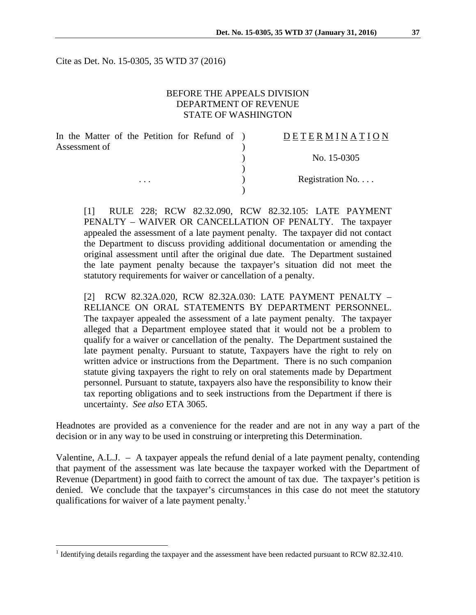Cite as Det. No. 15-0305, 35 WTD 37 (2016)

## BEFORE THE APPEALS DIVISION DEPARTMENT OF REVENUE STATE OF WASHINGTON

| In the Matter of the Petition for Refund of ) | DETERMINATION             |
|-----------------------------------------------|---------------------------|
| Assessment of                                 |                           |
|                                               | No. 15-0305               |
|                                               |                           |
| $\cdots$                                      | Registration $No. \ldots$ |
|                                               |                           |

[1] RULE 228; RCW 82.32.090, RCW 82.32.105: LATE PAYMENT PENALTY – WAIVER OR CANCELLATION OF PENALTY. The taxpayer appealed the assessment of a late payment penalty. The taxpayer did not contact the Department to discuss providing additional documentation or amending the original assessment until after the original due date. The Department sustained the late payment penalty because the taxpayer's situation did not meet the statutory requirements for waiver or cancellation of a penalty.

[2] RCW 82.32A.020, RCW 82.32A.030: LATE PAYMENT PENALTY – RELIANCE ON ORAL STATEMENTS BY DEPARTMENT PERSONNEL. The taxpayer appealed the assessment of a late payment penalty. The taxpayer alleged that a Department employee stated that it would not be a problem to qualify for a waiver or cancellation of the penalty. The Department sustained the late payment penalty. Pursuant to statute, Taxpayers have the right to rely on written advice or instructions from the Department. There is no such companion statute giving taxpayers the right to rely on oral statements made by Department personnel. Pursuant to statute, taxpayers also have the responsibility to know their tax reporting obligations and to seek instructions from the Department if there is uncertainty. *See also* ETA 3065.

Headnotes are provided as a convenience for the reader and are not in any way a part of the decision or in any way to be used in construing or interpreting this Determination.

Valentine, A.L.J. – A taxpayer appeals the refund denial of a late payment penalty, contending that payment of the assessment was late because the taxpayer worked with the Department of Revenue (Department) in good faith to correct the amount of tax due. The taxpayer's petition is denied. We conclude that the taxpayer's circumstances in this case do not meet the statutory qualifications for waiver of a late payment penalty.<sup>[1](#page-0-0)</sup>

<span id="page-0-0"></span><sup>&</sup>lt;sup>1</sup> Identifying details regarding the taxpayer and the assessment have been redacted pursuant to RCW 82.32.410.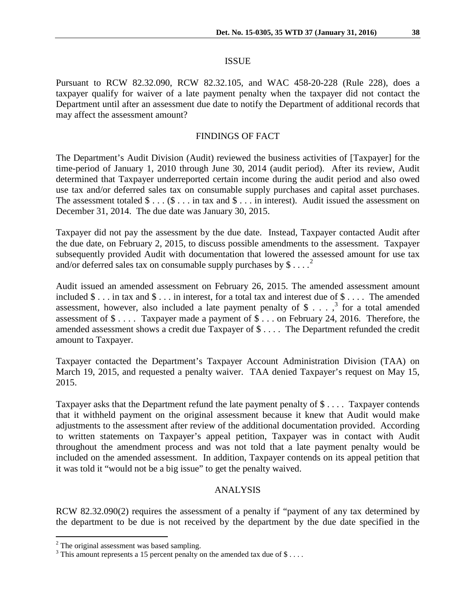### ISSUE

Pursuant to RCW 82.32.090, RCW 82.32.105, and WAC 458-20-228 (Rule 228), does a taxpayer qualify for waiver of a late payment penalty when the taxpayer did not contact the Department until after an assessment due date to notify the Department of additional records that may affect the assessment amount?

## FINDINGS OF FACT

The Department's Audit Division (Audit) reviewed the business activities of [Taxpayer] for the time-period of January 1, 2010 through June 30, 2014 (audit period). After its review, Audit determined that Taxpayer underreported certain income during the audit period and also owed use tax and/or deferred sales tax on consumable supply purchases and capital asset purchases. The assessment totaled  $\$\dots$  ( $\$\dots$  in tax and  $\$\dots$  in interest). Audit issued the assessment on December 31, 2014. The due date was January 30, 2015.

Taxpayer did not pay the assessment by the due date. Instead, Taxpayer contacted Audit after the due date, on February 2, 2015, to discuss possible amendments to the assessment. Taxpayer subsequently provided Audit with documentation that lowered the assessed amount for use tax and/or deferred sales tax on consumable supply purchases by  $\$\dots^2$  $\$\dots^2$ 

Audit issued an amended assessment on February 26, 2015. The amended assessment amount included \$ . . . in tax and \$ . . . in interest, for a total tax and interest due of \$ . . . . The amended assessment, however, also included a late payment penalty of  $\frac{1}{2}$ ...,  $\frac{3}{2}$  $\frac{3}{2}$  $\frac{3}{2}$  for a total amended assessment of \$ . . . . Taxpayer made a payment of \$ . . . on February 24, 2016. Therefore, the amended assessment shows a credit due Taxpayer of \$ . . . . The Department refunded the credit amount to Taxpayer.

Taxpayer contacted the Department's Taxpayer Account Administration Division (TAA) on March 19, 2015, and requested a penalty waiver. TAA denied Taxpayer's request on May 15, 2015.

Taxpayer asks that the Department refund the late payment penalty of \$ . . . . Taxpayer contends that it withheld payment on the original assessment because it knew that Audit would make adjustments to the assessment after review of the additional documentation provided. According to written statements on Taxpayer's appeal petition, Taxpayer was in contact with Audit throughout the amendment process and was not told that a late payment penalty would be included on the amended assessment. In addition, Taxpayer contends on its appeal petition that it was told it "would not be a big issue" to get the penalty waived.

### ANALYSIS

RCW 82.32.090(2) requires the assessment of a penalty if "payment of any tax determined by the department to be due is not received by the department by the due date specified in the

<span id="page-1-0"></span> $2$  The original assessment was based sampling.

<span id="page-1-1"></span> $3$  This amount represents a 15 percent penalty on the amended tax due of \$....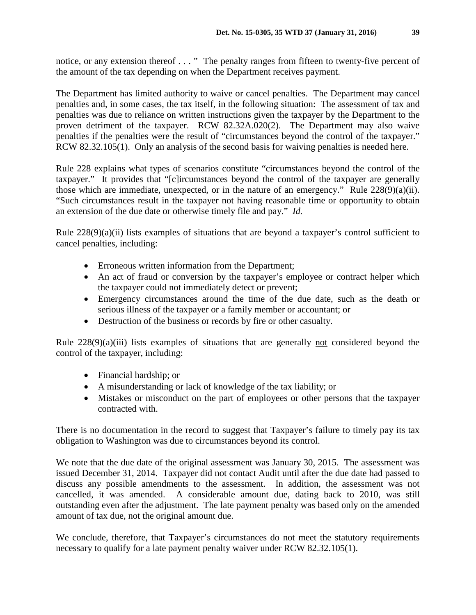notice, or any extension thereof . . . " The penalty ranges from fifteen to twenty-five percent of the amount of the tax depending on when the Department receives payment.

The Department has limited authority to waive or cancel penalties. The Department may cancel penalties and, in some cases, the tax itself, in the following situation: The assessment of tax and penalties was due to reliance on written instructions given the taxpayer by the Department to the proven detriment of the taxpayer. RCW 82.32A.020(2). The Department may also waive penalties if the penalties were the result of "circumstances beyond the control of the taxpayer." RCW 82.32.105(1). Only an analysis of the second basis for waiving penalties is needed here.

Rule 228 explains what types of scenarios constitute "circumstances beyond the control of the taxpayer." It provides that "[c]ircumstances beyond the control of the taxpayer are generally those which are immediate, unexpected, or in the nature of an emergency." Rule  $228(9)(a)(ii)$ . "Such circumstances result in the taxpayer not having reasonable time or opportunity to obtain an extension of the due date or otherwise timely file and pay." *Id.*

Rule  $228(9)(a)(ii)$  lists examples of situations that are beyond a taxpayer's control sufficient to cancel penalties, including:

- Erroneous written information from the Department;
- An act of fraud or conversion by the taxpayer's employee or contract helper which the taxpayer could not immediately detect or prevent;
- Emergency circumstances around the time of the due date, such as the death or serious illness of the taxpayer or a family member or accountant; or
- Destruction of the business or records by fire or other casualty.

Rule 228(9)(a)(iii) lists examples of situations that are generally not considered beyond the control of the taxpayer, including:

- Financial hardship; or
- A misunderstanding or lack of knowledge of the tax liability; or
- Mistakes or misconduct on the part of employees or other persons that the taxpayer contracted with.

There is no documentation in the record to suggest that Taxpayer's failure to timely pay its tax obligation to Washington was due to circumstances beyond its control.

We note that the due date of the original assessment was January 30, 2015. The assessment was issued December 31, 2014. Taxpayer did not contact Audit until after the due date had passed to discuss any possible amendments to the assessment. In addition, the assessment was not cancelled, it was amended. A considerable amount due, dating back to 2010, was still outstanding even after the adjustment. The late payment penalty was based only on the amended amount of tax due, not the original amount due.

We conclude, therefore, that Taxpayer's circumstances do not meet the statutory requirements necessary to qualify for a late payment penalty waiver under RCW 82.32.105(1).